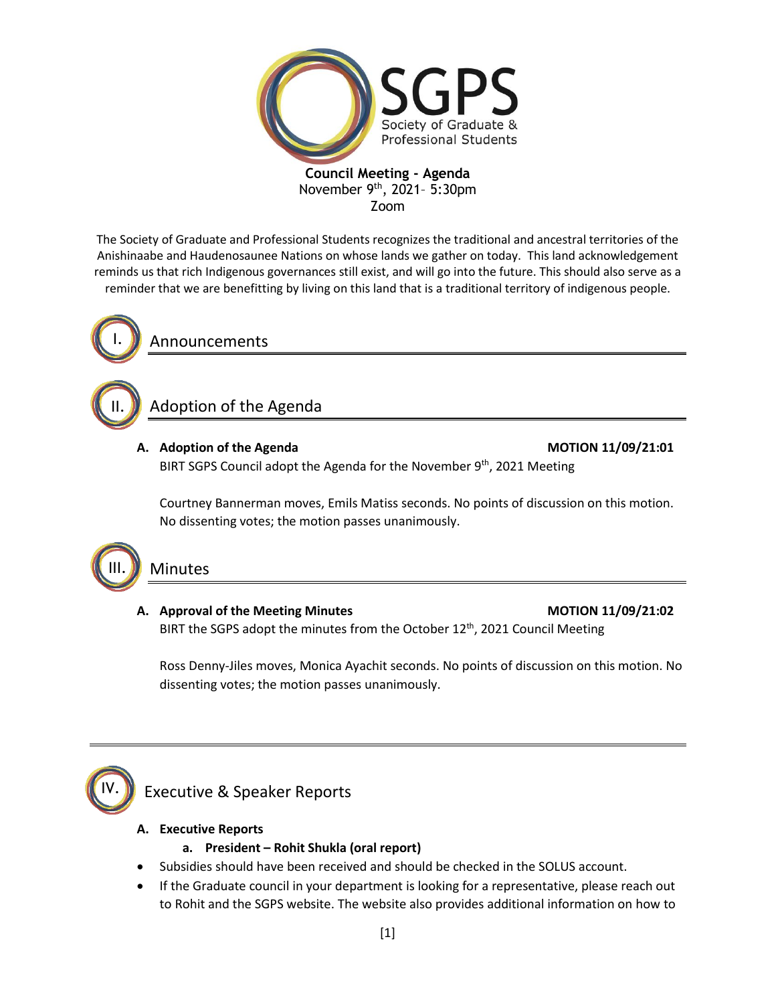

### **Council Meeting - Agenda** November  $9^{th}$ , 2021- 5:30pm Zoom

The Society of Graduate and Professional Students recognizes the traditional and ancestral territories of the Anishinaabe and Haudenosaunee Nations on whose lands we gather on today. This land acknowledgement reminds us that rich Indigenous governances still exist, and will go into the future. This should also serve as a reminder that we are benefitting by living on this land that is a traditional territory of indigenous people.



II.

III.

Announcements

# Adoption of the Agenda

# **A. Adoption of the Agenda MOTION 11/09/21:01**

BIRT SGPS Council adopt the Agenda for the November  $9<sup>th</sup>$ , 2021 Meeting

Courtney Bannerman moves, Emils Matiss seconds. No points of discussion on this motion. No dissenting votes; the motion passes unanimously.

# Minutes

# A. Approval of the Meeting Minutes **MOTION 11/09/21:02** BIRT the SGPS adopt the minutes from the October 12<sup>th</sup>, 2021 Council Meeting

Ross Denny-Jiles moves, Monica Ayachit seconds. No points of discussion on this motion. No dissenting votes; the motion passes unanimously.



# Executive & Speaker Reports

# **A. Executive Reports**

# **a. President – Rohit Shukla (oral report)**

- Subsidies should have been received and should be checked in the SOLUS account.
- If the Graduate council in your department is looking for a representative, please reach out to Rohit and the SGPS website. The website also provides additional information on how to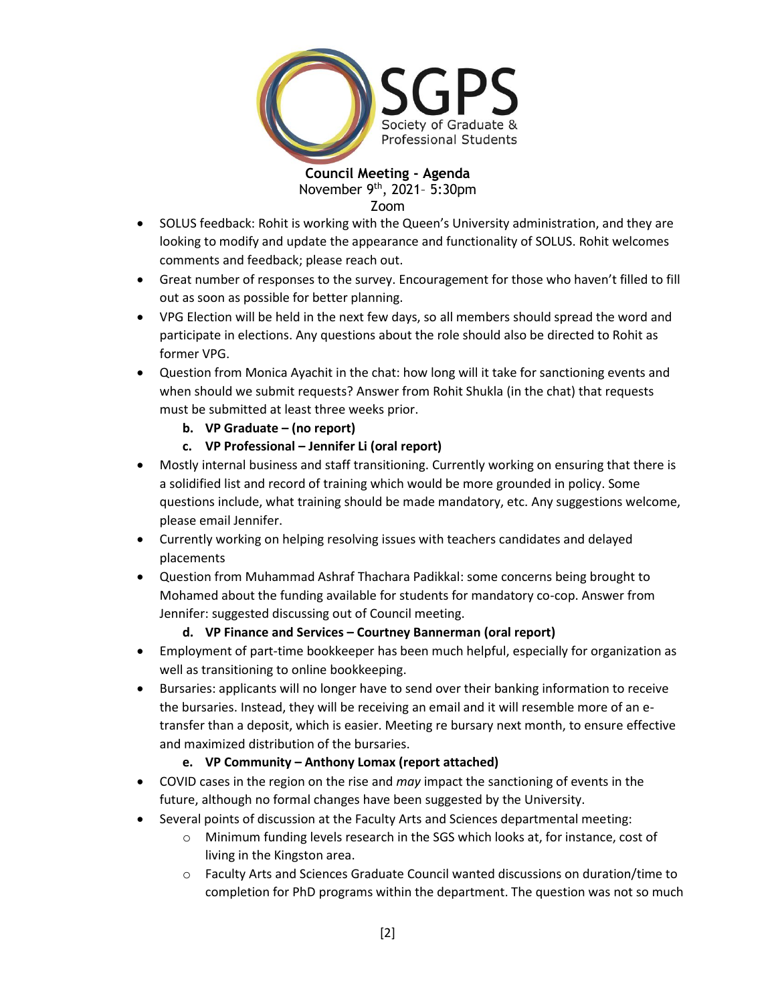

**Council Meeting - Agenda** November  $9^{th}$ , 2021- 5:30pm Zoom

- SOLUS feedback: Rohit is working with the Queen's University administration, and they are looking to modify and update the appearance and functionality of SOLUS. Rohit welcomes comments and feedback; please reach out.
- Great number of responses to the survey. Encouragement for those who haven't filled to fill out as soon as possible for better planning.
- VPG Election will be held in the next few days, so all members should spread the word and participate in elections. Any questions about the role should also be directed to Rohit as former VPG.
- Question from Monica Ayachit in the chat: how long will it take for sanctioning events and when should we submit requests? Answer from Rohit Shukla (in the chat) that requests must be submitted at least three weeks prior.
	- **b. VP Graduate – (no report)**
	- **c. VP Professional – Jennifer Li (oral report)**
- Mostly internal business and staff transitioning. Currently working on ensuring that there is a solidified list and record of training which would be more grounded in policy. Some questions include, what training should be made mandatory, etc. Any suggestions welcome, please email Jennifer.
- Currently working on helping resolving issues with teachers candidates and delayed placements
- Question from Muhammad Ashraf Thachara Padikkal: some concerns being brought to Mohamed about the funding available for students for mandatory co-cop. Answer from Jennifer: suggested discussing out of Council meeting.

# **d. VP Finance and Services – Courtney Bannerman (oral report)**

- Employment of part-time bookkeeper has been much helpful, especially for organization as well as transitioning to online bookkeeping.
- Bursaries: applicants will no longer have to send over their banking information to receive the bursaries. Instead, they will be receiving an email and it will resemble more of an etransfer than a deposit, which is easier. Meeting re bursary next month, to ensure effective and maximized distribution of the bursaries.

# **e. VP Community – Anthony Lomax (report attached)**

- COVID cases in the region on the rise and *may* impact the sanctioning of events in the future, although no formal changes have been suggested by the University.
- Several points of discussion at the Faculty Arts and Sciences departmental meeting:
	- o Minimum funding levels research in the SGS which looks at, for instance, cost of living in the Kingston area.
	- o Faculty Arts and Sciences Graduate Council wanted discussions on duration/time to completion for PhD programs within the department. The question was not so much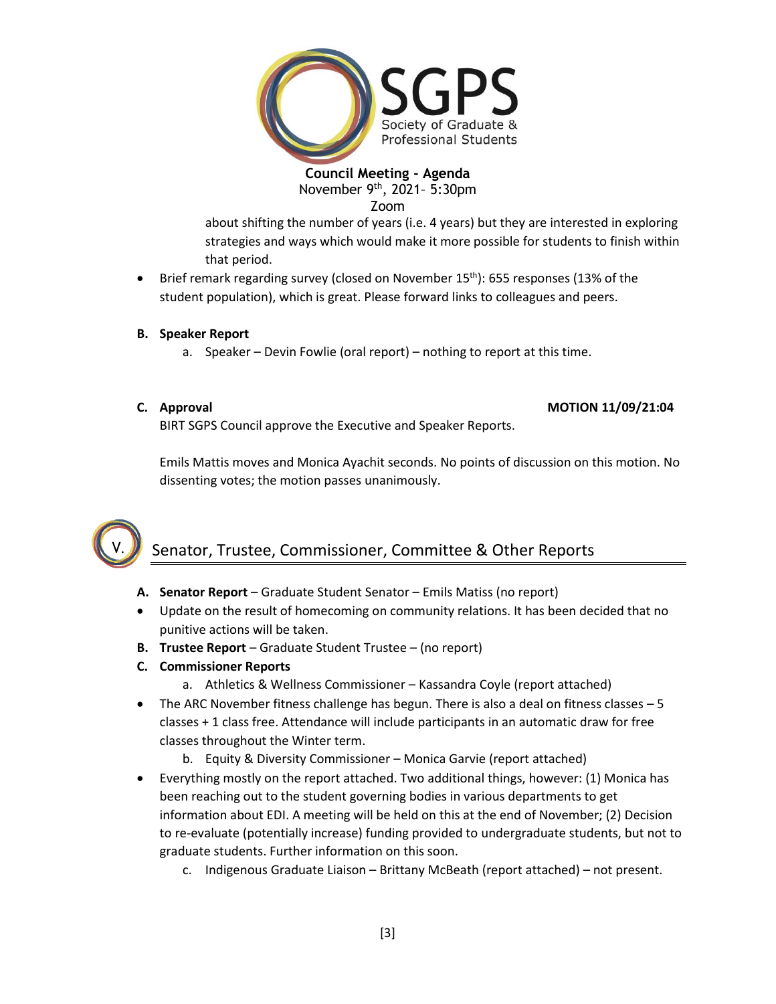

**Council Meeting - Agenda** November 9th, 2021– 5:30pm Zoom

about shifting the number of years (i.e. 4 years) but they are interested in exploring strategies and ways which would make it more possible for students to finish within that period.

- Brief remark regarding survey (closed on November  $15<sup>th</sup>$ ): 655 responses (13% of the student population), which is great. Please forward links to colleagues and peers.
- **B. Speaker Report**
	- a. Speaker Devin Fowlie (oral report) nothing to report at this time.
- 

V.

### **C. Approval MOTION 11/09/21:04**

BIRT SGPS Council approve the Executive and Speaker Reports.

Emils Mattis moves and Monica Ayachit seconds. No points of discussion on this motion. No dissenting votes; the motion passes unanimously.

# Senator, Trustee, Commissioner, Committee & Other Reports

- **A. Senator Report** Graduate Student Senator Emils Matiss (no report)
- Update on the result of homecoming on community relations. It has been decided that no punitive actions will be taken.
- **B. Trustee Report** Graduate Student Trustee (no report)
- **C. Commissioner Reports**
	- a. Athletics & Wellness Commissioner Kassandra Coyle (report attached)
- The ARC November fitness challenge has begun. There is also a deal on fitness classes 5 classes + 1 class free. Attendance will include participants in an automatic draw for free classes throughout the Winter term.
	- b. Equity & Diversity Commissioner Monica Garvie (report attached)
- Everything mostly on the report attached. Two additional things, however: (1) Monica has been reaching out to the student governing bodies in various departments to get information about EDI. A meeting will be held on this at the end of November; (2) Decision to re-evaluate (potentially increase) funding provided to undergraduate students, but not to graduate students. Further information on this soon.
	- c. Indigenous Graduate Liaison Brittany McBeath (report attached) not present.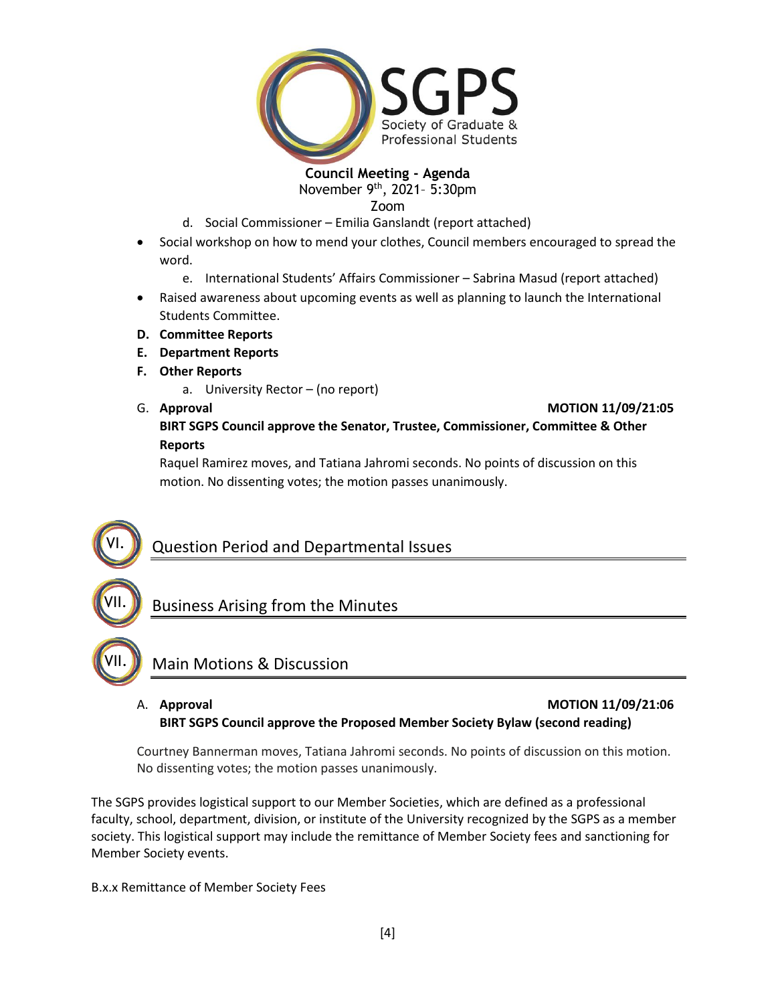

# **Council Meeting - Agenda**

November 9th, 2021– 5:30pm

Zoom

- d. Social Commissioner Emilia Ganslandt (report attached)
- Social workshop on how to mend your clothes, Council members encouraged to spread the word.
	- e. International Students' Affairs Commissioner Sabrina Masud (report attached)
- Raised awareness about upcoming events as well as planning to launch the International Students Committee.
- **D. Committee Reports**
- **E. Department Reports**
- **F. Other Reports**
	- a. University Rector (no report)

VII.

VI.

VII.

#### G. **Approval MOTION 11/09/21:05**

# **BIRT SGPS Council approve the Senator, Trustee, Commissioner, Committee & Other Reports**

Raquel Ramirez moves, and Tatiana Jahromi seconds. No points of discussion on this motion. No dissenting votes; the motion passes unanimously.

# Question Period and Departmental Issues

Business Arising from the Minutes



# A. **Approval MOTION 11/09/21:06**

# **BIRT SGPS Council approve the Proposed Member Society Bylaw (second reading)**

Courtney Bannerman moves, Tatiana Jahromi seconds. No points of discussion on this motion. No dissenting votes; the motion passes unanimously.

The SGPS provides logistical support to our Member Societies, which are defined as a professional faculty, school, department, division, or institute of the University recognized by the SGPS as a member society. This logistical support may include the remittance of Member Society fees and sanctioning for Member Society events.

B.x.x Remittance of Member Society Fees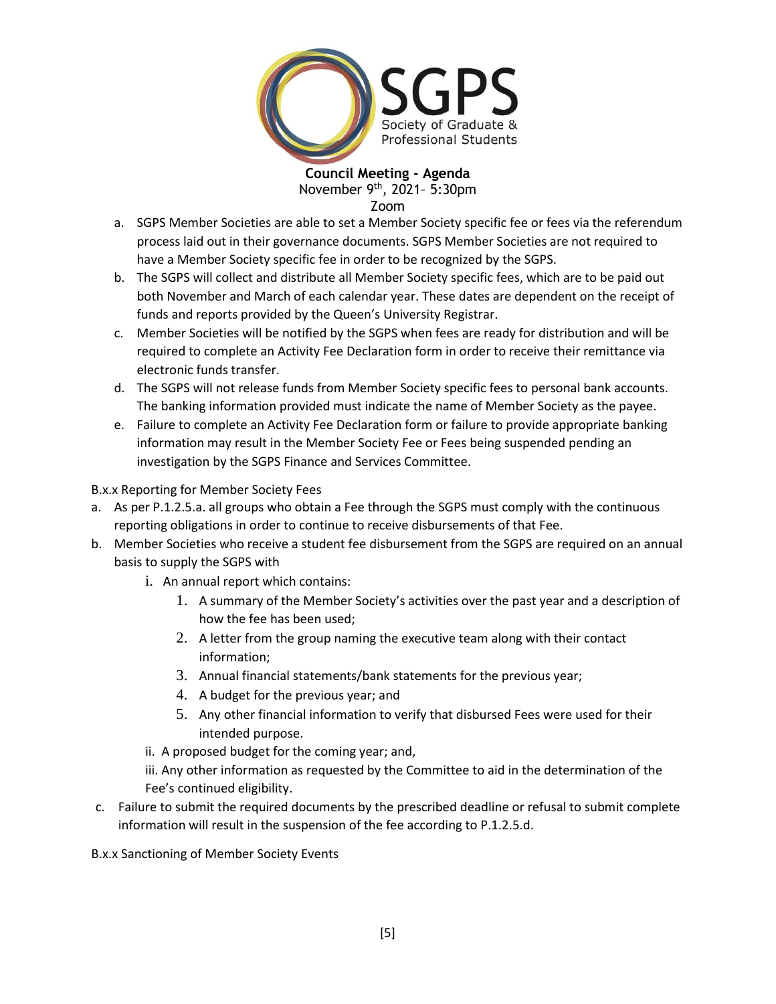

**Council Meeting - Agenda** November 9th, 2021– 5:30pm Zoom

a. SGPS Member Societies are able to set a Member Society specific fee or fees via the referendum process laid out in their governance documents. SGPS Member Societies are not required to have a Member Society specific fee in order to be recognized by the SGPS.

- b. The SGPS will collect and distribute all Member Society specific fees, which are to be paid out both November and March of each calendar year. These dates are dependent on the receipt of funds and reports provided by the Queen's University Registrar.
- c. Member Societies will be notified by the SGPS when fees are ready for distribution and will be required to complete an Activity Fee Declaration form in order to receive their remittance via electronic funds transfer.
- d. The SGPS will not release funds from Member Society specific fees to personal bank accounts. The banking information provided must indicate the name of Member Society as the payee.
- e. Failure to complete an Activity Fee Declaration form or failure to provide appropriate banking information may result in the Member Society Fee or Fees being suspended pending an investigation by the SGPS Finance and Services Committee.

B.x.x Reporting for Member Society Fees

- a. As per P.1.2.5.a. all groups who obtain a Fee through the SGPS must comply with the continuous reporting obligations in order to continue to receive disbursements of that Fee.
- b. Member Societies who receive a student fee disbursement from the SGPS are required on an annual basis to supply the SGPS with
	- i. An annual report which contains:
		- 1. A summary of the Member Society's activities over the past year and a description of how the fee has been used;
		- 2. A letter from the group naming the executive team along with their contact information;
		- 3. Annual financial statements/bank statements for the previous year;
		- 4. A budget for the previous year; and
		- 5. Any other financial information to verify that disbursed Fees were used for their intended purpose.
	- ii. A proposed budget for the coming year; and,
	- iii. Any other information as requested by the Committee to aid in the determination of the Fee's continued eligibility.
- c. Failure to submit the required documents by the prescribed deadline or refusal to submit complete information will result in the suspension of the fee according to P.1.2.5.d.

B.x.x Sanctioning of Member Society Events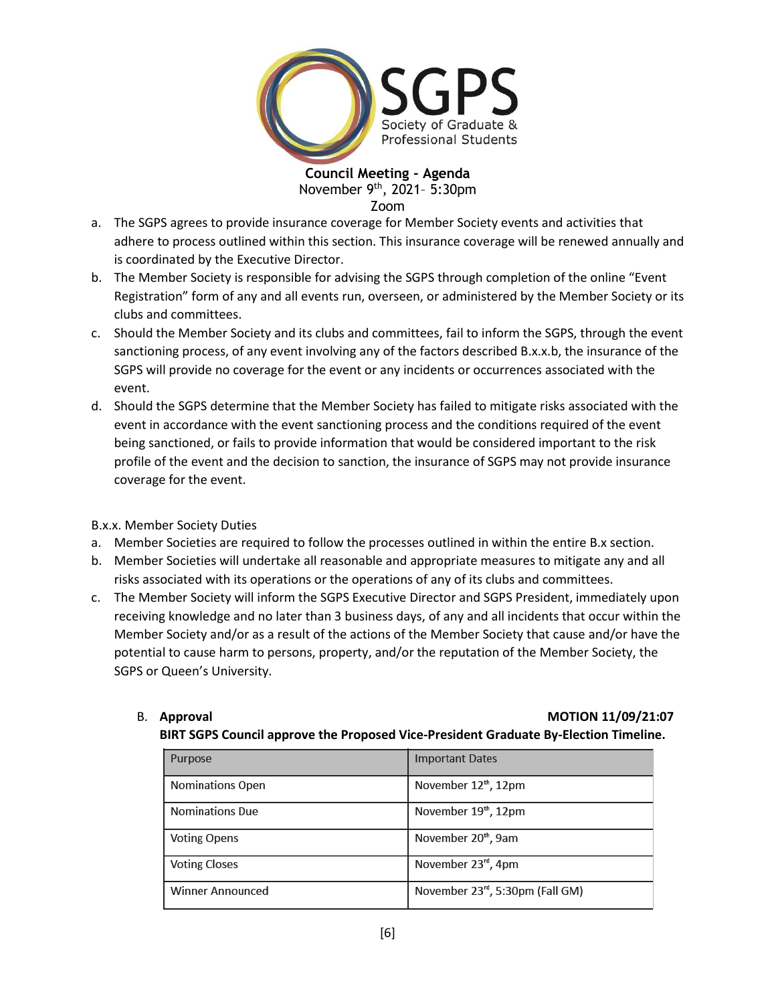

**Council Meeting - Agenda** November 9th, 2021– 5:30pm Zoom

- a. The SGPS agrees to provide insurance coverage for Member Society events and activities that adhere to process outlined within this section. This insurance coverage will be renewed annually and is coordinated by the Executive Director.
- b. The Member Society is responsible for advising the SGPS through completion of the online "Event Registration" form of any and all events run, overseen, or administered by the Member Society or its clubs and committees.
- c. Should the Member Society and its clubs and committees, fail to inform the SGPS, through the event sanctioning process, of any event involving any of the factors described B.x.x.b, the insurance of the SGPS will provide no coverage for the event or any incidents or occurrences associated with the event.
- d. Should the SGPS determine that the Member Society has failed to mitigate risks associated with the event in accordance with the event sanctioning process and the conditions required of the event being sanctioned, or fails to provide information that would be considered important to the risk profile of the event and the decision to sanction, the insurance of SGPS may not provide insurance coverage for the event.

B.x.x. Member Society Duties

- a. Member Societies are required to follow the processes outlined in within the entire B.x section.
- b. Member Societies will undertake all reasonable and appropriate measures to mitigate any and all risks associated with its operations or the operations of any of its clubs and committees.
- c. The Member Society will inform the SGPS Executive Director and SGPS President, immediately upon receiving knowledge and no later than 3 business days, of any and all incidents that occur within the Member Society and/or as a result of the actions of the Member Society that cause and/or have the potential to cause harm to persons, property, and/or the reputation of the Member Society, the SGPS or Queen's University.

| В. | Approval |
|----|----------|
|    |          |

#### B. **Approval MOTION 11/09/21:07**

#### **BIRT SGPS Council approve the Proposed Vice-President Graduate By-Election Timeline.**

| Purpose                 | <b>Important Dates</b>           |
|-------------------------|----------------------------------|
| <b>Nominations Open</b> | November 12 <sup>th</sup> , 12pm |
| <b>Nominations Due</b>  | November 19 <sup>th</sup> , 12pm |
| <b>Voting Opens</b>     | November 20 <sup>th</sup> , 9am  |
| <b>Voting Closes</b>    | November 23rd, 4pm               |
| <b>Winner Announced</b> | November 23rd, 5:30pm (Fall GM)  |